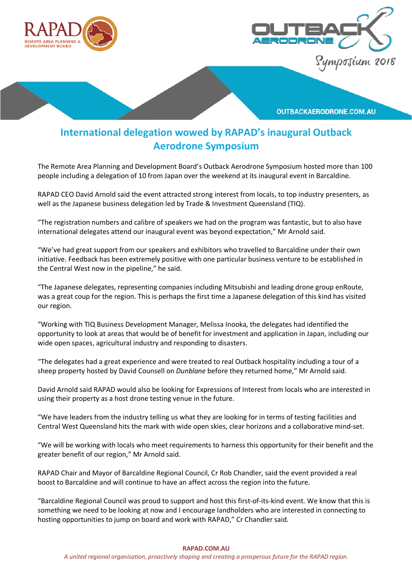



**OUTBACKAERODRONE.COM.AU** 

# **International delegation wowed by RAPAD's inaugural Outback Aerodrone Symposium**

The Remote Area Planning and Development Board's Outback Aerodrone Symposium hosted more than 100 people including a delegation of 10 from Japan over the weekend at its inaugural event in Barcaldine.

RAPAD CEO David Arnold said the event attracted strong interest from locals, to top industry presenters, as well as the Japanese business delegation led by Trade & Investment Queensland (TIQ).

"The registration numbers and calibre of speakers we had on the program was fantastic, but to also have international delegates attend our inaugural event was beyond expectation," Mr Arnold said.

"We've had great support from our speakers and exhibitors who travelled to Barcaldine under their own initiative. Feedback has been extremely positive with one particular business venture to be established in the Central West now in the pipeline," he said.

"The Japanese delegates, representing companies including Mitsubishi and leading drone group enRoute, was a great coup for the region. This is perhaps the first time a Japanese delegation of this kind has visited our region.

"Working with TIQ Business Development Manager, Melissa Inooka, the delegates had identified the opportunity to look at areas that would be of benefit for investment and application in Japan, including our wide open spaces, agricultural industry and responding to disasters.

"The delegates had a great experience and were treated to real Outback hospitality including a tour of a sheep property hosted by David Counsell on *Dunblane* before they returned home," Mr Arnold said.

David Arnold said RAPAD would also be looking for Expressions of Interest from locals who are interested in using their property as a host drone testing venue in the future.

"We have leaders from the industry telling us what they are looking for in terms of testing facilities and Central West Queensland hits the mark with wide open skies, clear horizons and a collaborative mind-set.

"We will be working with locals who meet requirements to harness this opportunity for their benefit and the greater benefit of our region," Mr Arnold said.

RAPAD Chair and Mayor of Barcaldine Regional Council, Cr Rob Chandler, said the event provided a real boost to Barcaldine and will continue to have an affect across the region into the future.

"Barcaldine Regional Council was proud to support and host this first-of-its-kind event. We know that this is something we need to be looking at now and I encourage landholders who are interested in connecting to hosting opportunities to jump on board and work with RAPAD," Cr Chandler said.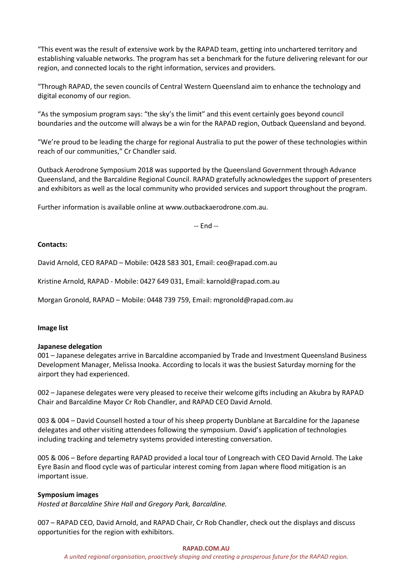"This event was the result of extensive work by the RAPAD team, getting into unchartered territory and establishing valuable networks. The program has set a benchmark for the future delivering relevant for our region, and connected locals to the right information, services and providers.

"Through RAPAD, the seven councils of Central Western Queensland aim to enhance the technology and digital economy of our region.

"As the symposium program says: "the sky's the limit" and this event certainly goes beyond council boundaries and the outcome will always be a win for the RAPAD region, Outback Queensland and beyond.

"We're proud to be leading the charge for regional Australia to put the power of these technologies within reach of our communities," Cr Chandler said.

Outback Aerodrone Symposium 2018 was supported by the Queensland Government through Advance Queensland, and the Barcaldine Regional Council. RAPAD gratefully acknowledges the support of presenters and exhibitors as well as the local community who provided services and support throughout the program.

Further information is available online at www.outbackaerodrone.com.au.

-- End --

#### **Contacts:**

David Arnold, CEO RAPAD – Mobile: 0428 583 301, Email: ceo@rapad.com.au

Kristine Arnold, RAPAD - Mobile: 0427 649 031, Email: karnold@rapad.com.au

Morgan Gronold, RAPAD – Mobile: 0448 739 759, Email: mgronold@rapad.com.au

#### **Image list**

#### **Japanese delegation**

001 – Japanese delegates arrive in Barcaldine accompanied by Trade and Investment Queensland Business Development Manager, Melissa Inooka. According to locals it was the busiest Saturday morning for the airport they had experienced.

002 – Japanese delegates were very pleased to receive their welcome gifts including an Akubra by RAPAD Chair and Barcaldine Mayor Cr Rob Chandler, and RAPAD CEO David Arnold.

003 & 004 – David Counsell hosted a tour of his sheep property Dunblane at Barcaldine for the Japanese delegates and other visiting attendees following the symposium. David's application of technologies including tracking and telemetry systems provided interesting conversation.

005 & 006 – Before departing RAPAD provided a local tour of Longreach with CEO David Arnold. The Lake Eyre Basin and flood cycle was of particular interest coming from Japan where flood mitigation is an important issue.

## **Symposium images**

*Hosted at Barcaldine Shire Hall and Gregory Park, Barcaldine.*

007 – RAPAD CEO, David Arnold, and RAPAD Chair, Cr Rob Chandler, check out the displays and discuss opportunities for the region with exhibitors.

#### **RAPAD.COM.AU**

*A united regional organisation, proactively shaping and creating a prosperous future for the RAPAD region.*